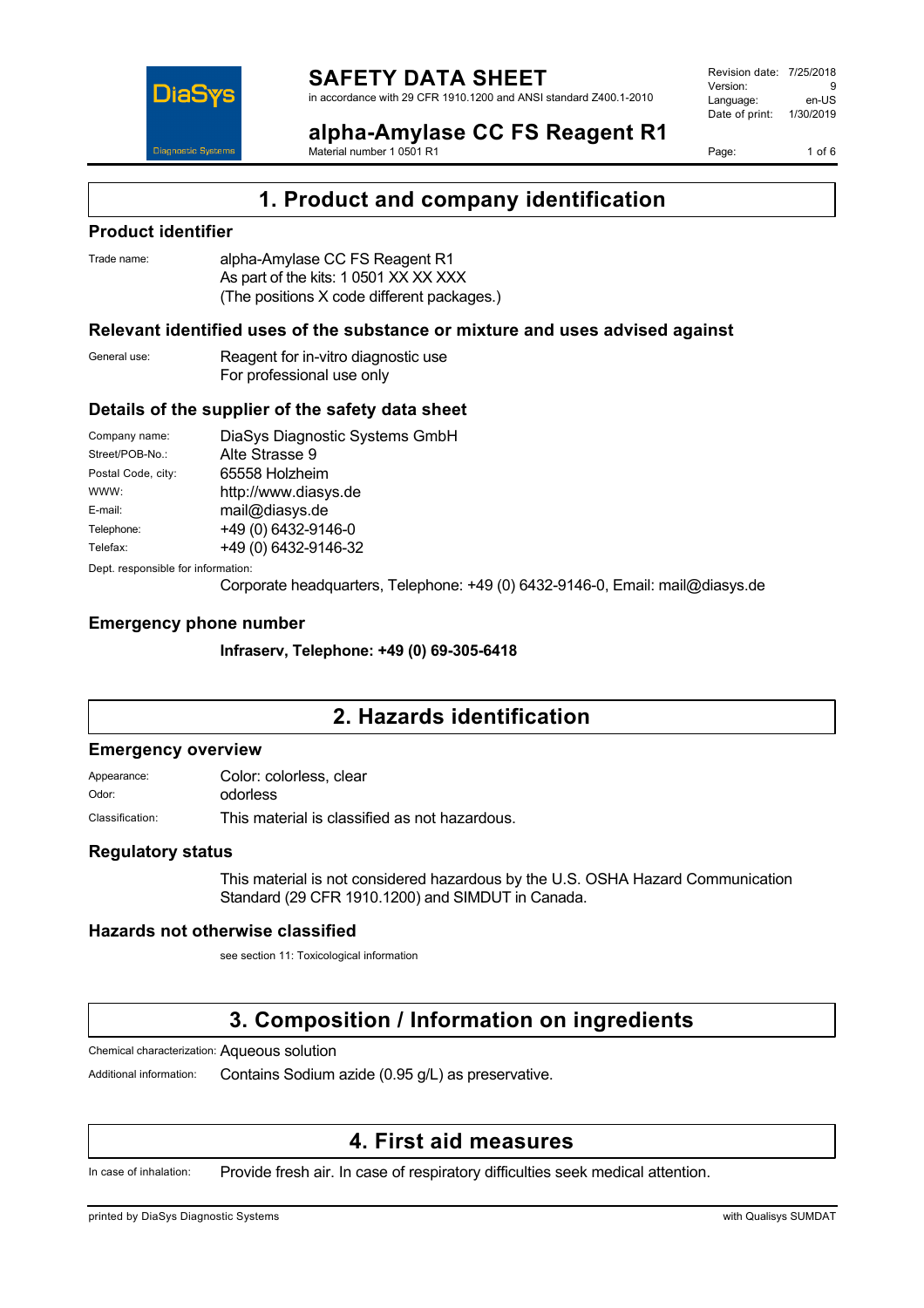

Revision date: 7/25/2018 Version: 9<br>Language: en-LIS Language: Date of print: 1/30/2019

**alpha-Amylase CC FS Reagent R1** Material number 1 0501 R1

Page: 1 of 6

## **1. Product and company identification**

#### **Product identifier**

| Trade name: | alpha-Amylase CC FS Reagent R1             |
|-------------|--------------------------------------------|
|             | As part of the kits: 1 0501 XX XX XXX      |
|             | (The positions X code different packages.) |

### **Relevant identified uses of the substance or mixture and uses advised against**

| General use: | Reagent for in-vitro diagnostic use |
|--------------|-------------------------------------|
|              | For professional use only           |

#### **Details of the supplier of the safety data sheet**

| Company name:                      | DiaSys Diagnostic Systems GmbH |  |
|------------------------------------|--------------------------------|--|
| Street/POB-No.:                    | Alte Strasse 9                 |  |
| Postal Code, city:                 | 65558 Holzheim                 |  |
| WWW:                               | http://www.diasys.de           |  |
| E-mail:                            | mail@diasys.de                 |  |
| Telephone:                         | +49 (0) 6432-9146-0            |  |
| Telefax:                           | +49 (0) 6432-9146-32           |  |
| Dept. responsible for information: |                                |  |

Corporate headquarters, Telephone: +49 (0) 6432-9146-0, Email: mail@diasys.de

#### **Emergency phone number**

**Infraserv, Telephone: +49 (0) 69-305-6418**

## **2. Hazards identification**

#### **Emergency overview**

| Appearance:     | Color: colorless, clear                       |  |
|-----------------|-----------------------------------------------|--|
| Odor:           | odorless                                      |  |
| Classification: | This material is classified as not hazardous. |  |

#### **Regulatory status**

This material is not considered hazardous by the U.S. OSHA Hazard Communication Standard (29 CFR 1910.1200) and SIMDUT in Canada.

#### **Hazards not otherwise classified**

see section 11: Toxicological information

## **3. Composition / Information on ingredients**

Chemical characterization: Aqueous solution

Additional information: Contains Sodium azide (0.95 g/L) as preservative.

## **4. First aid measures**

In case of inhalation: Provide fresh air. In case of respiratory difficulties seek medical attention.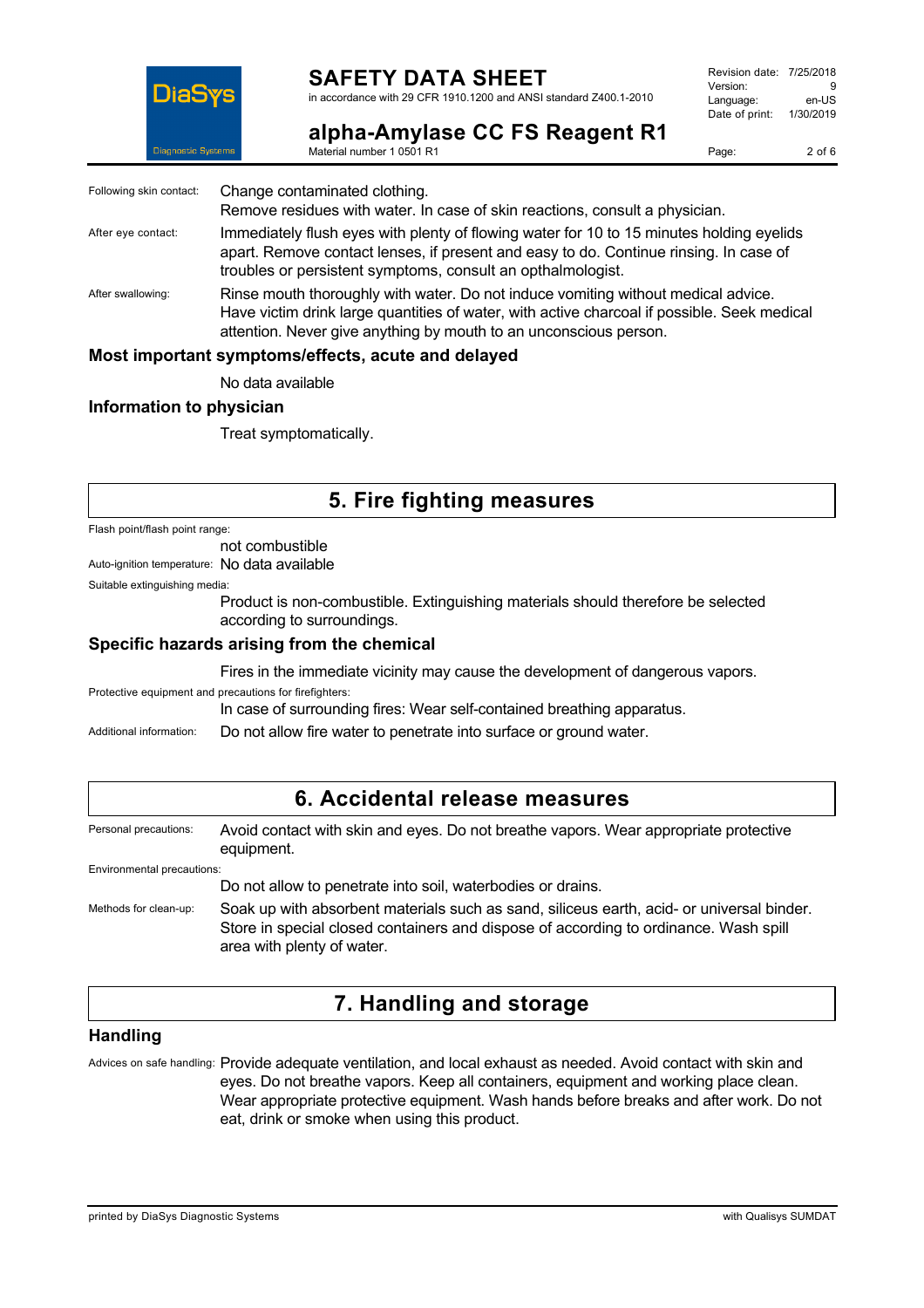

## **SAFETY DATA SHEET**

in accordance with 29 CFR 1910.1200 and ANSI standard Z400.1-2010

Revision date: 7/25/2018 Version: 9<br>Language: en-LIS Language: Date of print: 1/30/2019

**alpha-Amylase CC FS Reagent R1** Material number 1 0501 R1

Page: 2 of 6

| Following skin contact:                            | Change contaminated clothing.<br>Remove residues with water. In case of skin reactions, consult a physician.                                                                                                                                          |  |
|----------------------------------------------------|-------------------------------------------------------------------------------------------------------------------------------------------------------------------------------------------------------------------------------------------------------|--|
| After eye contact:                                 | Immediately flush eyes with plenty of flowing water for 10 to 15 minutes holding eyelids<br>apart. Remove contact lenses, if present and easy to do. Continue rinsing. In case of<br>troubles or persistent symptoms, consult an opthalmologist.      |  |
| After swallowing:                                  | Rinse mouth thoroughly with water. Do not induce vomiting without medical advice.<br>Have victim drink large quantities of water, with active charcoal if possible. Seek medical<br>attention. Never give anything by mouth to an unconscious person. |  |
| Most important symptoms/effects, acute and delayed |                                                                                                                                                                                                                                                       |  |

No data available

#### **Information to physician**

Treat symptomatically.

## **5. Fire fighting measures**

Flash point/flash point range:

not combustible

Auto-ignition temperature: No data available

Suitable extinguishing media:

Product is non-combustible. Extinguishing materials should therefore be selected according to surroundings.

#### **Specific hazards arising from the chemical**

Fires in the immediate vicinity may cause the development of dangerous vapors.

Protective equipment and precautions for firefighters:

In case of surrounding fires: Wear self-contained breathing apparatus.

Additional information: Do not allow fire water to penetrate into surface or ground water.

| 6. Accidental release measures |                                                                                                                                                                                                                 |  |
|--------------------------------|-----------------------------------------------------------------------------------------------------------------------------------------------------------------------------------------------------------------|--|
| Personal precautions:          | Avoid contact with skin and eyes. Do not breathe vapors. Wear appropriate protective<br>equipment.                                                                                                              |  |
| Environmental precautions:     |                                                                                                                                                                                                                 |  |
|                                | Do not allow to penetrate into soil, waterbodies or drains.                                                                                                                                                     |  |
| Methods for clean-up:          | Soak up with absorbent materials such as sand, siliceus earth, acid- or universal binder.<br>Store in special closed containers and dispose of according to ordinance. Wash spill<br>area with plenty of water. |  |

## **7. Handling and storage**

#### **Handling**

Advices on safe handling: Provide adequate ventilation, and local exhaust as needed. Avoid contact with skin and eyes. Do not breathe vapors. Keep all containers, equipment and working place clean. Wear appropriate protective equipment. Wash hands before breaks and after work. Do not eat, drink or smoke when using this product.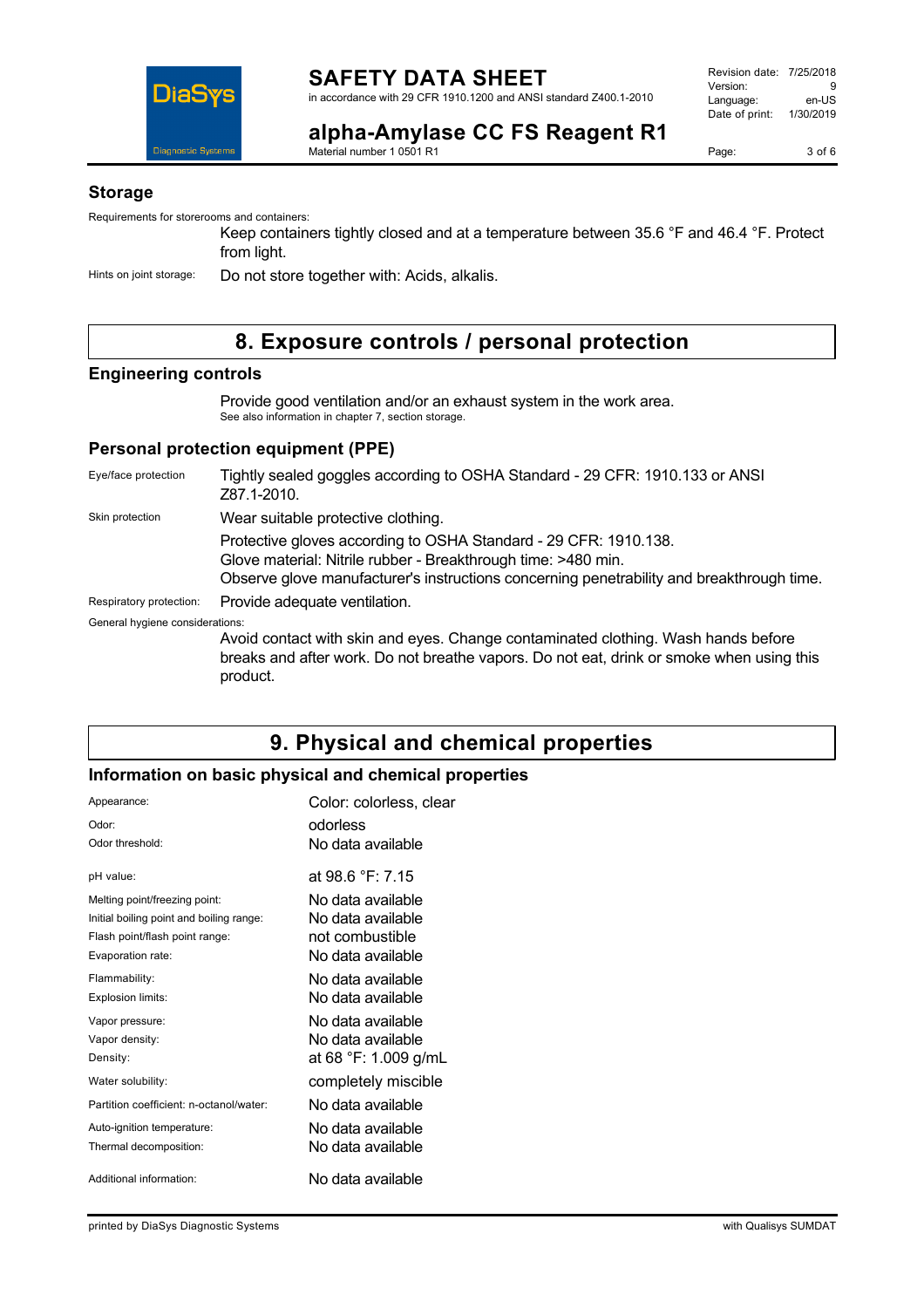

**alpha-Amylase CC FS Reagent R1**

Page: 3 of 6

#### **Storage**

Requirements for storerooms and containers:

Keep containers tightly closed and at a temperature between 35.6 °F and 46.4 °F. Protect from light.

Hints on joint storage: Do not store together with: Acids, alkalis.

Material number 1 0501 R1

## **8. Exposure controls / personal protection**

#### **Engineering controls**

Provide good ventilation and/or an exhaust system in the work area. See also information in chapter 7, section storage.

#### **Personal protection equipment (PPE)**

| Eye/face protection             | Tightly sealed goggles according to OSHA Standard - 29 CFR: 1910.133 or ANSI<br>Z87.1-2010.                                                                                                                                    |
|---------------------------------|--------------------------------------------------------------------------------------------------------------------------------------------------------------------------------------------------------------------------------|
| Skin protection                 | Wear suitable protective clothing.                                                                                                                                                                                             |
|                                 | Protective gloves according to OSHA Standard - 29 CFR: 1910.138.<br>Glove material: Nitrile rubber - Breakthrough time: >480 min.<br>Observe glove manufacturer's instructions concerning penetrability and breakthrough time. |
| Respiratory protection:         | Provide adequate ventilation.                                                                                                                                                                                                  |
| General hygiene considerations: |                                                                                                                                                                                                                                |
|                                 | Avoid contact with skin and eyes. Change contaminated clothing. Wash hands before<br>breaks and after work. Do not breathe vapors. Do not eat, drink or smoke when using this<br>product.                                      |

## **9. Physical and chemical properties**

### **Information on basic physical and chemical properties**

| Appearance:                              | Color: colorless, clear |
|------------------------------------------|-------------------------|
| Odor:                                    | odorless                |
| Odor threshold:                          | No data available       |
| pH value:                                | at 98.6 °F: 7.15        |
| Melting point/freezing point:            | No data available       |
| Initial boiling point and boiling range: | No data available       |
| Flash point/flash point range:           | not combustible         |
| Evaporation rate:                        | No data available       |
| Flammability:                            | No data available       |
| <b>Explosion limits:</b>                 | No data available       |
| Vapor pressure:                          | No data available       |
| Vapor density:                           | No data available       |
| Density:                                 | at 68 °F: 1.009 g/mL    |
| Water solubility:                        | completely miscible     |
| Partition coefficient: n-octanol/water:  | No data available       |
| Auto-ignition temperature:               | No data available       |
| Thermal decomposition:                   | No data available       |
| Additional information:                  | No data available       |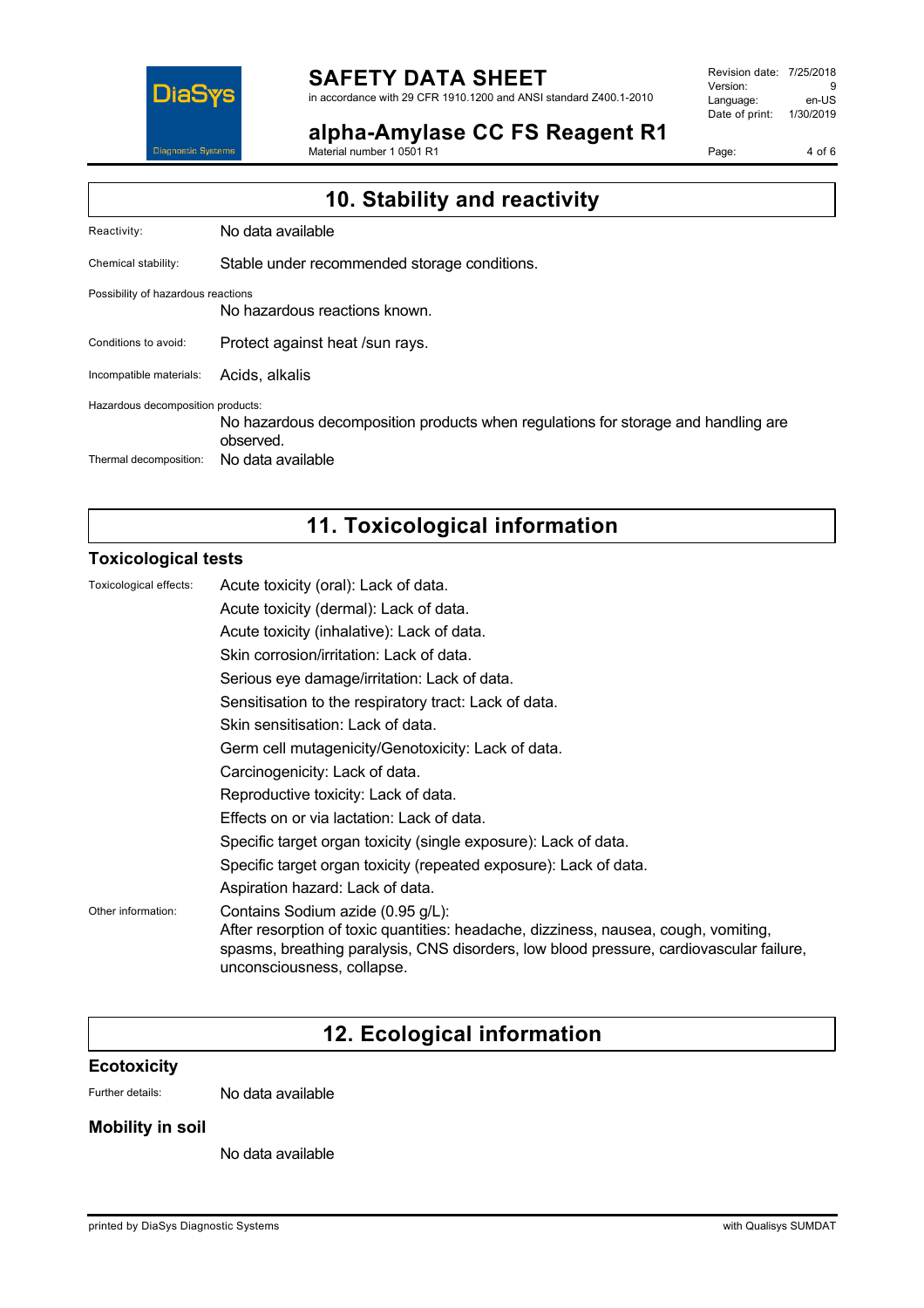

# **SAFETY DATA SHEET**

Material number 1 0501 R1

in accordance with 29 CFR 1910.1200 and ANSI standard Z400.1-2010

**alpha-Amylase CC FS Reagent R1**

Revision date: 7/25/2018 Version: 9<br>
Language: en-US Language: Date of print: 1/30/2019

Page: 4 of 6

| 10. Stability and reactivity       |                                                                                                |  |
|------------------------------------|------------------------------------------------------------------------------------------------|--|
| Reactivity:                        | No data available                                                                              |  |
| Chemical stability:                | Stable under recommended storage conditions.                                                   |  |
| Possibility of hazardous reactions | No hazardous reactions known.                                                                  |  |
| Conditions to avoid:               | Protect against heat /sun rays.                                                                |  |
| Incompatible materials:            | Acids, alkalis                                                                                 |  |
| Hazardous decomposition products:  | No hazardous decomposition products when regulations for storage and handling are<br>observed. |  |
| Thermal decomposition:             | No data available                                                                              |  |

# **11. Toxicological information**

#### **Toxicological tests**

| Toxicological effects: | Acute toxicity (oral): Lack of data.                                                                                                                                                                                                              |
|------------------------|---------------------------------------------------------------------------------------------------------------------------------------------------------------------------------------------------------------------------------------------------|
|                        | Acute toxicity (dermal): Lack of data.                                                                                                                                                                                                            |
|                        | Acute toxicity (inhalative): Lack of data.                                                                                                                                                                                                        |
|                        | Skin corrosion/irritation: Lack of data.                                                                                                                                                                                                          |
|                        | Serious eye damage/irritation: Lack of data.                                                                                                                                                                                                      |
|                        | Sensitisation to the respiratory tract: Lack of data.                                                                                                                                                                                             |
|                        | Skin sensitisation: Lack of data.                                                                                                                                                                                                                 |
|                        | Germ cell mutagenicity/Genotoxicity: Lack of data.                                                                                                                                                                                                |
|                        | Carcinogenicity: Lack of data.                                                                                                                                                                                                                    |
|                        | Reproductive toxicity: Lack of data.                                                                                                                                                                                                              |
|                        | Effects on or via lactation: Lack of data.                                                                                                                                                                                                        |
|                        | Specific target organ toxicity (single exposure): Lack of data.                                                                                                                                                                                   |
|                        | Specific target organ toxicity (repeated exposure): Lack of data.                                                                                                                                                                                 |
|                        | Aspiration hazard: Lack of data.                                                                                                                                                                                                                  |
| Other information:     | Contains Sodium azide (0.95 g/L):<br>After resorption of toxic quantities: headache, dizziness, nausea, cough, vomiting,<br>spasms, breathing paralysis, CNS disorders, low blood pressure, cardiovascular failure,<br>unconsciousness, collapse. |

## **12. Ecological information**

#### **Ecotoxicity**

Further details: No data available

#### **Mobility in soil**

No data available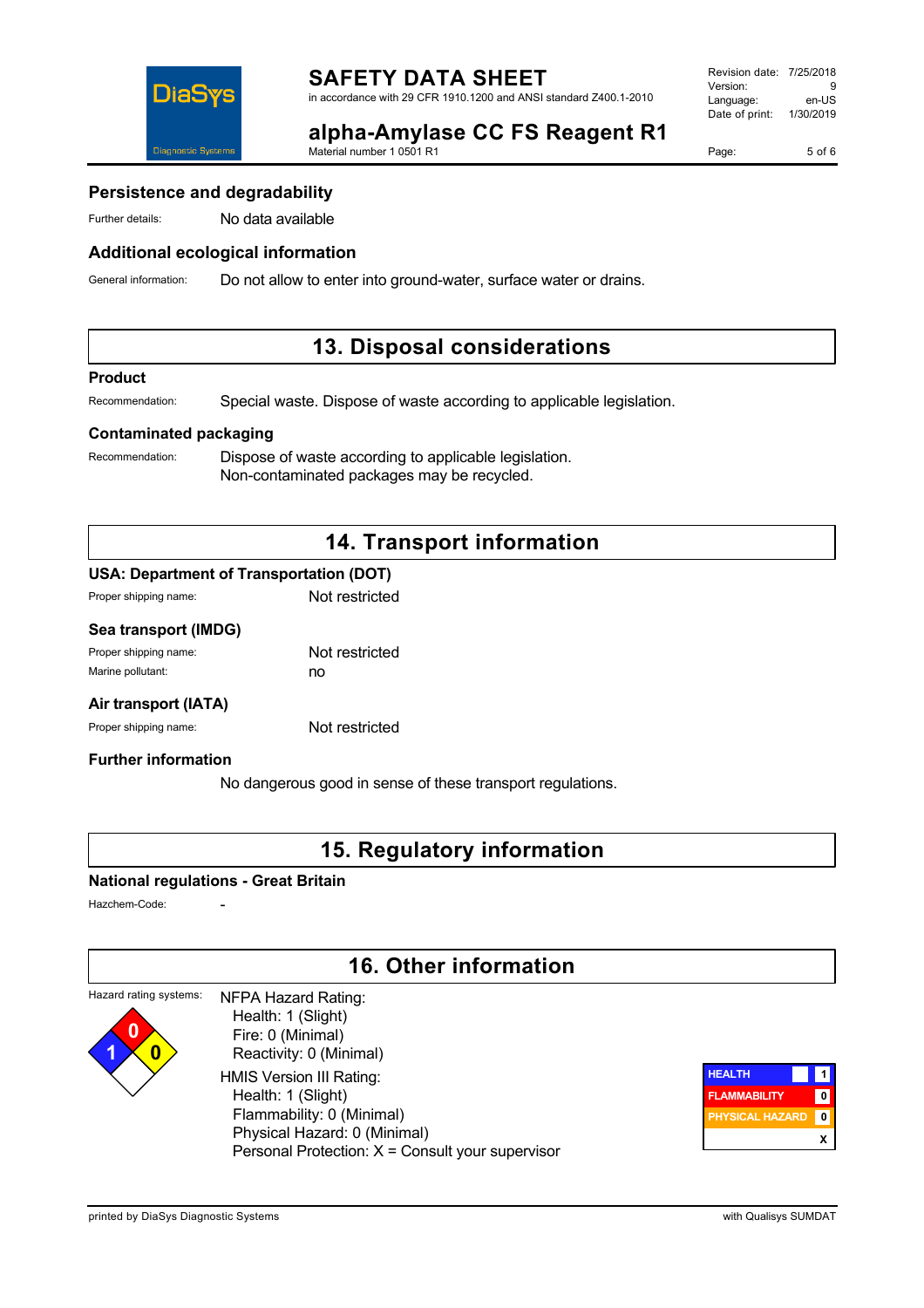

#### Revision date: 7/25/2018 Version: 9<br>Language: en-LIS Language: Date of print: 1/30/2019

Page: 5 of 6

#### **alpha-Amylase CC FS Reagent R1** Material number 1 0501 R1

#### **Persistence and degradability**

Further details: No data available

#### **Additional ecological information**

General information: Do not allow to enter into ground-water, surface water or drains.

## **13. Disposal considerations**

#### **Product**

Recommendation: Special waste. Dispose of waste according to applicable legislation.

#### **Contaminated packaging**

Recommendation: Dispose of waste according to applicable legislation. Non-contaminated packages may be recycled.

## **14. Transport information**

#### **USA: Department of Transportation (DOT)**

| Proper shipping name: | Not restricted |
|-----------------------|----------------|
|                       |                |

#### **Sea transport (IMDG)**

| Proper shipping name: | Not restricted |
|-----------------------|----------------|
| Marine pollutant:     | no             |

#### **Air transport (IATA)**

Proper shipping name: Not restricted

#### **Further information**

No dangerous good in sense of these transport regulations.

## **15. Regulatory information**

#### **National regulations - Great Britain**

Hazchem-Code:

**1 0**

## **16. Other information**

#### Hazard rating systems: **0** NFPA Hazard Rating: Health: 1 (Slight)

 Fire: 0 (Minimal) Reactivity: 0 (Minimal) HMIS Version III Rating: Health: 1 (Slight) Flammability: 0 (Minimal) Physical Hazard: 0 (Minimal) Personal Protection: X = Consult your supervisor